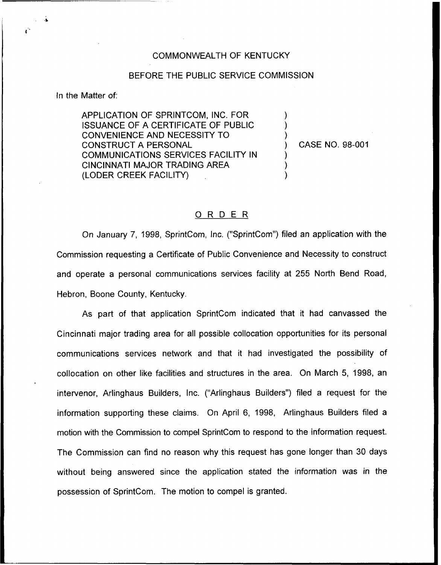## COMMONWEALTH OF KENTUCKY

## BEFORE THE PUBLIC SERVICE COMMISSION

In the Matter of:

APPLICATION OF SPRINTCOM, INC. FOR ISSUANCE OF A CERTIFICATE OF PUBLIC CONVENIENCE AND NECESSITY TO CONSTRUCT A PERSONAL COMMUNICATIONS SERVICES FACILITY IN CINCINNATI MAJOR TRADING AREA (LODER CREEK FACILITY)

) CASE NO. 98-001

) ) )

) ) )

## 0 <sup>R</sup> <sup>D</sup> <sup>E</sup> <sup>R</sup>

On January 7, 1998, SprintCom, Inc. ("SprintCom") filed an application with the Commission requesting a Certificate of Public Convenience and Necessity to construct and operate a personal communications services facility at 255 North Bend Road, Hebron, Boone County, Kentucky.

As part of that application SprintCom indicated that it had canvassed the Cincinnati major trading area for all possible collocation opportunities for its personal communications services network and that it had investigated the possibility of collocation on other like facilities and structures in the area. On March 5, 1998, an intervenor, Arlinghaus Builders, Inc. ("Arlinghaus Builders") filed a request for the information supporting these claims, On April 6, 1998, Arlinghaus Builders filed a motion with the Commission to compel SprintCom to respond to the information request. The Commission can find no reason why this request has gone longer than 30 days without being answered since the application stated the information was in the possession of SprintCom. The motion to compel is granted.